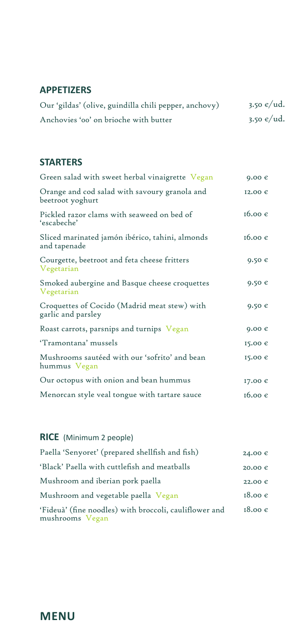#### **APPETIZERS**

| Our 'gildas' (olive, guindilla chili pepper, anchovy) | 3.50 $\epsilon$ /ud. |
|-------------------------------------------------------|----------------------|
| Anchovies 'oo' on brioche with butter                 | 3.50 $\epsilon$ /ud. |

#### **STARTERS**

| Green salad with sweet herbal vinaigrette Vegan                    | $9.00 \text{ } \in$      |
|--------------------------------------------------------------------|--------------------------|
| Orange and cod salad with savoury granola and<br>beetroot yoghurt  | 12.00 €                  |
| Pickled razor clams with seaweed on bed of<br>'escabeche'          | $16.00 \text{ }\epsilon$ |
| Sliced marinated jamón ibérico, tahini, almonds<br>and tapenade    | $16.00 \text{ }\epsilon$ |
| Courgette, beetroot and feta cheese fritters<br>Vegetarian         | $9.50 \text{ } \in$      |
| Smoked aubergine and Basque cheese croquettes<br>Vegetarian        | $9.50 \text{ } \in$      |
| Croquettes of Cocido (Madrid meat stew) with<br>garlic and parsley | $9.50 \text{ } \in$      |
| Roast carrots, parsnips and turnips Vegan                          | $9.00 \text{ } \in$      |
| 'Tramontana' mussels                                               | 15.00 €                  |
| Mushrooms sautéed with our 'sofrito' and bean<br>hummus Vegan      | 15.00 €                  |
| Our octopus with onion and bean hummus                             | 17.00 €                  |
| Menorcan style veal tongue with tartare sauce                      | 16.00 $\epsilon$         |

## **RICE** (Minimum 2 people)

| Paella 'Senyoret' (prepared shellfish and fish)                           | 24.00€                   |
|---------------------------------------------------------------------------|--------------------------|
| 'Black' Paella with cuttlefish and meatballs                              | 20.00 €                  |
| Mushroom and iberian pork paella                                          | 22.00 €                  |
| Mushroom and vegetable paella Vegan                                       | $18.00 \text{ }\epsilon$ |
| 'Fideuà' (fine noodles) with broccoli, cauliflower and<br>mushrooms Vegan | $18.00 \text{ }\epsilon$ |